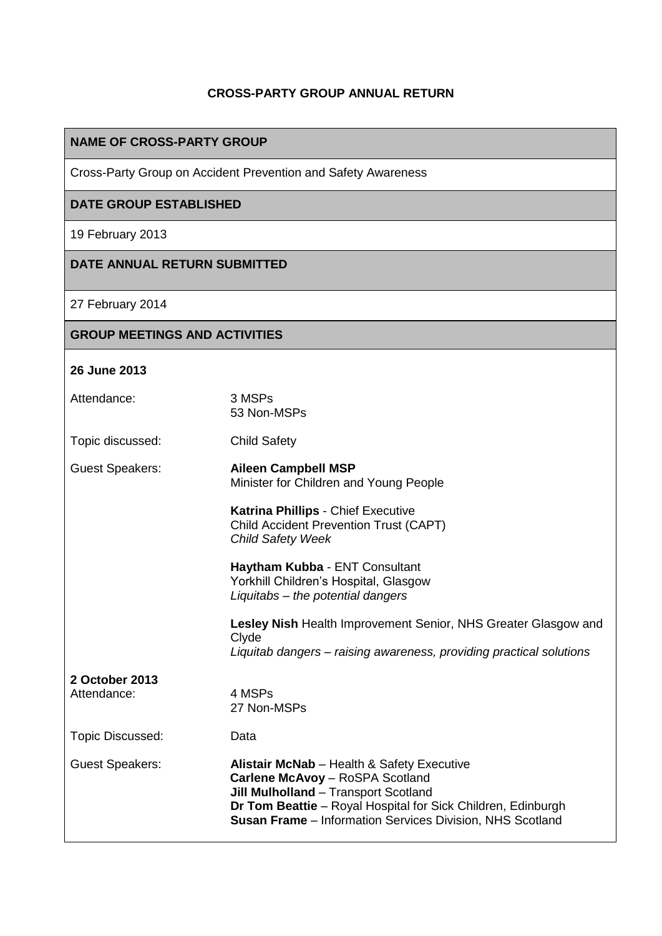## **CROSS-PARTY GROUP ANNUAL RETURN**

## **NAME OF CROSS-PARTY GROUP**

Cross-Party Group on Accident Prevention and Safety Awareness

## **DATE GROUP ESTABLISHED**

19 February 2013

### **DATE ANNUAL RETURN SUBMITTED**

27 February 2014

## **GROUP MEETINGS AND ACTIVITIES**

## **26 June 2013**

| Attendance: | 3 MSPs      |
|-------------|-------------|
|             | 53 Non-MSPs |

Topic discussed: Child Safety

Guest Speakers: **Aileen Campbell MSP** Minister for Children and Young People

> **Katrina Phillips** - Chief Executive Child Accident Prevention Trust (CAPT) *Child Safety Week*

**Haytham Kubba** - ENT Consultant Yorkhill Children's Hospital, Glasgow *Liquitabs – the potential dangers* 

**Lesley Nish** Health Improvement Senior, NHS Greater Glasgow and Clyde *Liquitab dangers – raising awareness, providing practical solutions*

#### **2 October 2013** Attendance: 4 MSPs

27 Non-MSPs

Topic Discussed: Data

Guest Speakers: **Alistair McNab** – Health & Safety Executive **Carlene McAvoy** – RoSPA Scotland **Jill Mulholland** – Transport Scotland **Dr Tom Beattie** – Royal Hospital for Sick Children, Edinburgh **Susan Frame** – Information Services Division, NHS Scotland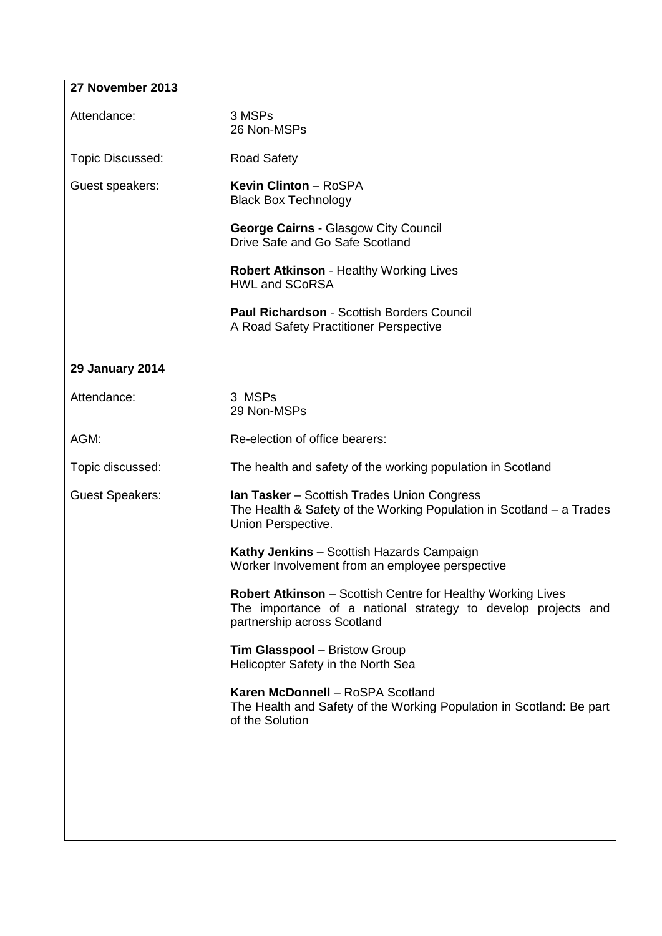| 27 November 2013       |                                                                                                                                                                    |
|------------------------|--------------------------------------------------------------------------------------------------------------------------------------------------------------------|
| Attendance:            | 3 MSPs<br>26 Non-MSPs                                                                                                                                              |
| Topic Discussed:       | <b>Road Safety</b>                                                                                                                                                 |
| Guest speakers:        | <b>Kevin Clinton - RoSPA</b><br><b>Black Box Technology</b>                                                                                                        |
|                        | George Cairns - Glasgow City Council<br>Drive Safe and Go Safe Scotland                                                                                            |
|                        | <b>Robert Atkinson - Healthy Working Lives</b><br><b>HWL and SCoRSA</b>                                                                                            |
|                        | <b>Paul Richardson - Scottish Borders Council</b><br>A Road Safety Practitioner Perspective                                                                        |
| <b>29 January 2014</b> |                                                                                                                                                                    |
| Attendance:            | 3 MSPs<br>29 Non-MSPs                                                                                                                                              |
| AGM:                   | Re-election of office bearers:                                                                                                                                     |
| Topic discussed:       | The health and safety of the working population in Scotland                                                                                                        |
| <b>Guest Speakers:</b> | Ian Tasker - Scottish Trades Union Congress<br>The Health & Safety of the Working Population in Scotland – a Trades<br>Union Perspective.                          |
|                        | Kathy Jenkins - Scottish Hazards Campaign<br>Worker Involvement from an employee perspective                                                                       |
|                        | <b>Robert Atkinson</b> – Scottish Centre for Healthy Working Lives<br>The importance of a national strategy to develop projects and<br>partnership across Scotland |
|                        | <b>Tim Glasspool - Bristow Group</b><br>Helicopter Safety in the North Sea                                                                                         |
|                        | Karen McDonnell - RoSPA Scotland<br>The Health and Safety of the Working Population in Scotland: Be part<br>of the Solution                                        |
|                        |                                                                                                                                                                    |
|                        |                                                                                                                                                                    |
|                        |                                                                                                                                                                    |
|                        |                                                                                                                                                                    |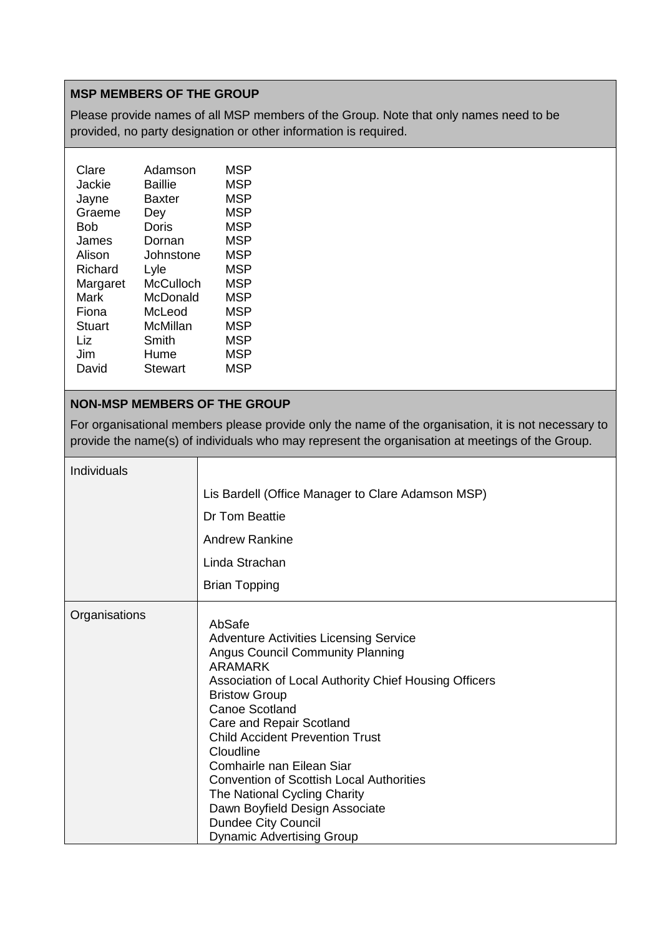# **MSP MEMBERS OF THE GROUP**

Please provide names of all MSP members of the Group. Note that only names need to be provided, no party designation or other information is required.

| Clare<br>Jackie | Adamson<br>Baillie | <b>MSP</b><br><b>MSP</b> |
|-----------------|--------------------|--------------------------|
| Jayne           | Baxter             | <b>MSP</b>               |
| Graeme          | Dey                | MSP                      |
| Bob             | Doris              | <b>MSP</b>               |
| James           | Dornan             | <b>MSP</b>               |
| Alison          | Johnstone          | <b>MSP</b>               |
| Richard         | Lyle               | <b>MSP</b>               |
| Margaret        | McCulloch          | <b>MSP</b>               |
| Mark            | <b>McDonald</b>    | <b>MSP</b>               |
| Fiona           | McLeod             | <b>MSP</b>               |
| Stuart          | McMillan           | <b>MSP</b>               |
| Liz             | Smith              | <b>MSP</b>               |
| Jim             | Hume               | <b>MSP</b>               |
| David           | Stewart            | <b>MSP</b>               |

## **NON-MSP MEMBERS OF THE GROUP**

For organisational members please provide only the name of the organisation, it is not necessary to provide the name(s) of individuals who may represent the organisation at meetings of the Group.

| Individuals   |                                                                                                                                                                                                                                                                                                                                                                                                                                                                                                                                |
|---------------|--------------------------------------------------------------------------------------------------------------------------------------------------------------------------------------------------------------------------------------------------------------------------------------------------------------------------------------------------------------------------------------------------------------------------------------------------------------------------------------------------------------------------------|
|               | Lis Bardell (Office Manager to Clare Adamson MSP)                                                                                                                                                                                                                                                                                                                                                                                                                                                                              |
|               | Dr Tom Beattie                                                                                                                                                                                                                                                                                                                                                                                                                                                                                                                 |
|               | <b>Andrew Rankine</b>                                                                                                                                                                                                                                                                                                                                                                                                                                                                                                          |
|               | Linda Strachan                                                                                                                                                                                                                                                                                                                                                                                                                                                                                                                 |
|               | <b>Brian Topping</b>                                                                                                                                                                                                                                                                                                                                                                                                                                                                                                           |
| Organisations | AbSafe<br><b>Adventure Activities Licensing Service</b><br><b>Angus Council Community Planning</b><br>ARAMARK<br>Association of Local Authority Chief Housing Officers<br><b>Bristow Group</b><br><b>Canoe Scotland</b><br>Care and Repair Scotland<br><b>Child Accident Prevention Trust</b><br>Cloudline<br>Comhairle nan Eilean Siar<br><b>Convention of Scottish Local Authorities</b><br>The National Cycling Charity<br>Dawn Boyfield Design Associate<br><b>Dundee City Council</b><br><b>Dynamic Advertising Group</b> |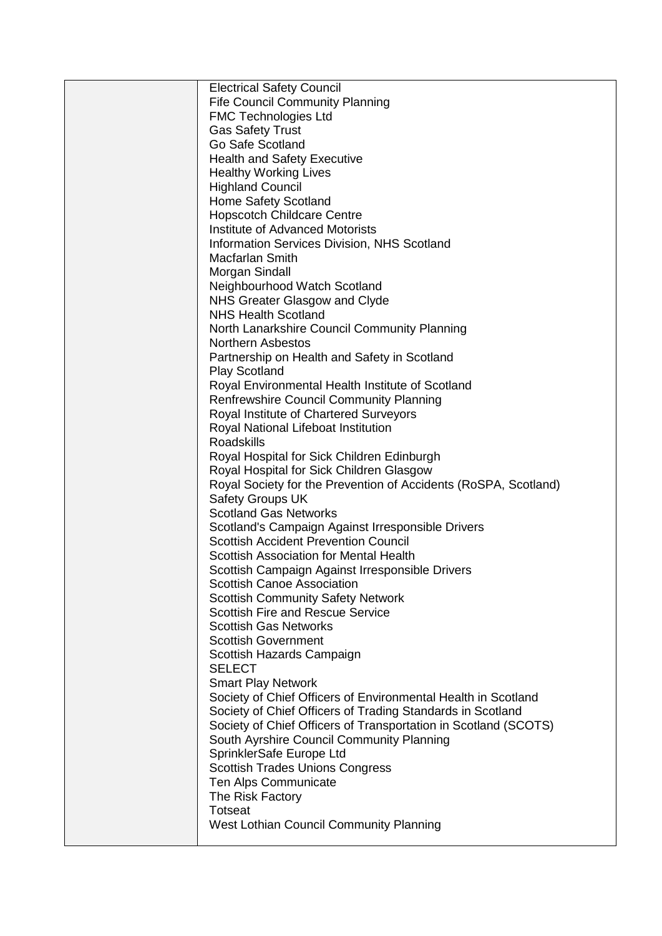| <b>Electrical Safety Council</b>                                |
|-----------------------------------------------------------------|
| <b>Fife Council Community Planning</b>                          |
| <b>FMC Technologies Ltd</b>                                     |
| <b>Gas Safety Trust</b>                                         |
| Go Safe Scotland                                                |
|                                                                 |
| <b>Health and Safety Executive</b>                              |
| <b>Healthy Working Lives</b>                                    |
| <b>Highland Council</b>                                         |
| Home Safety Scotland                                            |
| <b>Hopscotch Childcare Centre</b>                               |
| <b>Institute of Advanced Motorists</b>                          |
| <b>Information Services Division, NHS Scotland</b>              |
| Macfarlan Smith                                                 |
| Morgan Sindall                                                  |
| Neighbourhood Watch Scotland                                    |
| NHS Greater Glasgow and Clyde                                   |
|                                                                 |
| <b>NHS Health Scotland</b>                                      |
| North Lanarkshire Council Community Planning                    |
| Northern Asbestos                                               |
| Partnership on Health and Safety in Scotland                    |
| <b>Play Scotland</b>                                            |
| Royal Environmental Health Institute of Scotland                |
| <b>Renfrewshire Council Community Planning</b>                  |
| Royal Institute of Chartered Surveyors                          |
| Royal National Lifeboat Institution                             |
| <b>Roadskills</b>                                               |
|                                                                 |
| Royal Hospital for Sick Children Edinburgh                      |
| Royal Hospital for Sick Children Glasgow                        |
| Royal Society for the Prevention of Accidents (RoSPA, Scotland) |
| <b>Safety Groups UK</b>                                         |
| <b>Scotland Gas Networks</b>                                    |
| Scotland's Campaign Against Irresponsible Drivers               |
| <b>Scottish Accident Prevention Council</b>                     |
| Scottish Association for Mental Health                          |
| Scottish Campaign Against Irresponsible Drivers                 |
| <b>Scottish Canoe Association</b>                               |
| <b>Scottish Community Safety Network</b>                        |
| <b>Scottish Fire and Rescue Service</b>                         |
| <b>Scottish Gas Networks</b>                                    |
|                                                                 |
| <b>Scottish Government</b>                                      |
| Scottish Hazards Campaign                                       |
| <b>SELECT</b>                                                   |
| <b>Smart Play Network</b>                                       |
| Society of Chief Officers of Environmental Health in Scotland   |
| Society of Chief Officers of Trading Standards in Scotland      |
| Society of Chief Officers of Transportation in Scotland (SCOTS) |
| South Ayrshire Council Community Planning                       |
| SprinklerSafe Europe Ltd                                        |
| <b>Scottish Trades Unions Congress</b>                          |
|                                                                 |
| Ten Alps Communicate                                            |
| The Risk Factory                                                |
| <b>Totseat</b>                                                  |
| <b>West Lothian Council Community Planning</b>                  |
|                                                                 |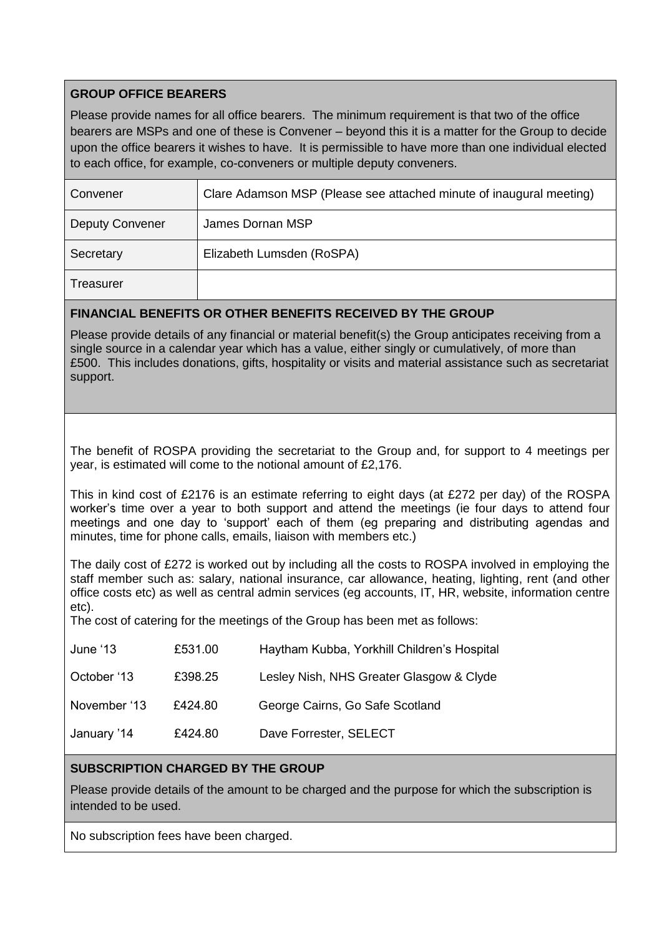# **GROUP OFFICE BEARERS**

Please provide names for all office bearers. The minimum requirement is that two of the office bearers are MSPs and one of these is Convener – beyond this it is a matter for the Group to decide upon the office bearers it wishes to have. It is permissible to have more than one individual elected to each office, for example, co-conveners or multiple deputy conveners.

| Convener               | Clare Adamson MSP (Please see attached minute of inaugural meeting) |
|------------------------|---------------------------------------------------------------------|
| <b>Deputy Convener</b> | James Dornan MSP                                                    |
| Secretary              | Elizabeth Lumsden (RoSPA)                                           |
| Treasurer              |                                                                     |

## **FINANCIAL BENEFITS OR OTHER BENEFITS RECEIVED BY THE GROUP**

Please provide details of any financial or material benefit(s) the Group anticipates receiving from a single source in a calendar year which has a value, either singly or cumulatively, of more than £500. This includes donations, gifts, hospitality or visits and material assistance such as secretariat support.

The benefit of ROSPA providing the secretariat to the Group and, for support to 4 meetings per year, is estimated will come to the notional amount of £2,176.

This in kind cost of £2176 is an estimate referring to eight days (at £272 per day) of the ROSPA worker's time over a year to both support and attend the meetings (ie four days to attend four meetings and one day to 'support' each of them (eg preparing and distributing agendas and minutes, time for phone calls, emails, liaison with members etc.)

The daily cost of £272 is worked out by including all the costs to ROSPA involved in employing the staff member such as: salary, national insurance, car allowance, heating, lighting, rent (and other office costs etc) as well as central admin services (eg accounts, IT, HR, website, information centre etc).

The cost of catering for the meetings of the Group has been met as follows:

| June '13     | £531.00 | Haytham Kubba, Yorkhill Children's Hospital |
|--------------|---------|---------------------------------------------|
| October '13  | £398.25 | Lesley Nish, NHS Greater Glasgow & Clyde    |
| November '13 | £424.80 | George Cairns, Go Safe Scotland             |
| January '14  | £424.80 | Dave Forrester, SELECT                      |

## **SUBSCRIPTION CHARGED BY THE GROUP**

Please provide details of the amount to be charged and the purpose for which the subscription is intended to be used.

No subscription fees have been charged.